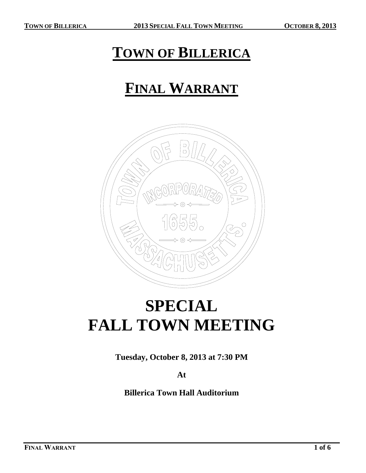### **TOWN OF BILLERICA**

## **FINAL WARRANT**



# **SPECIAL FALL TOWN MEETING**

**Tuesday, October 8, 2013 at 7:30 PM**

**At**

**Billerica Town Hall Auditorium**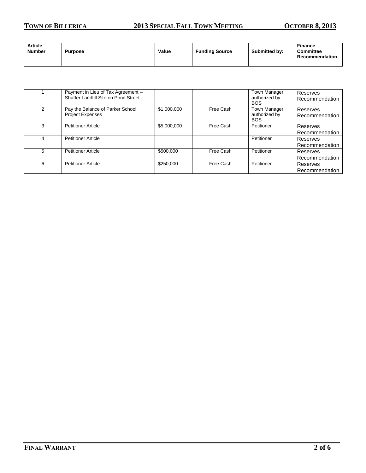#### **TOWN OF BILLERICA 2013 SPECIAL FALL TOWN MEETING OCTOBER 8, 2013**

| <b>Article</b><br><b>Number</b> | <b>Purpose</b> | Value | <b>Funding Source</b> | <b>Submitted by:</b> | <b>Finance</b><br><b>Committee</b><br>Recommendation |
|---------------------------------|----------------|-------|-----------------------|----------------------|------------------------------------------------------|
|---------------------------------|----------------|-------|-----------------------|----------------------|------------------------------------------------------|

|   | Payment in Lieu of Tax Agreement -<br>Shaffer Landfill Site on Pond Street |             |           | Town Manager;<br>authorized by<br><b>BOS</b> | Reserves<br>Recommendation |
|---|----------------------------------------------------------------------------|-------------|-----------|----------------------------------------------|----------------------------|
| 2 | Pay the Balance of Parker School<br><b>Project Expenses</b>                | \$1,000,000 | Free Cash | Town Manager;<br>authorized by<br><b>BOS</b> | Reserves<br>Recommendation |
| 3 | <b>Petitioner Article</b>                                                  | \$5,000,000 | Free Cash | Petitioner                                   | Reserves<br>Recommendation |
| 4 | <b>Petitioner Article</b>                                                  |             |           | Petitioner                                   | Reserves<br>Recommendation |
| 5 | <b>Petitioner Article</b>                                                  | \$500,000   | Free Cash | Petitioner                                   | Reserves<br>Recommendation |
| 6 | <b>Petitioner Article</b>                                                  | \$250,000   | Free Cash | Petitioner                                   | Reserves<br>Recommendation |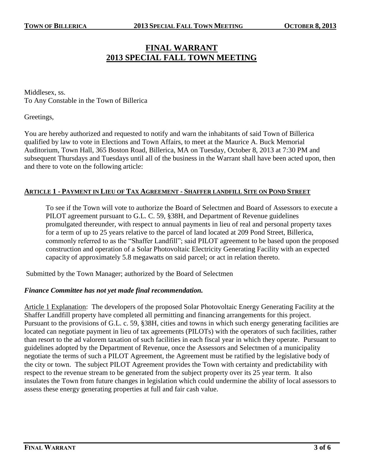### **FINAL WARRANT 2013 SPECIAL FALL TOWN MEETING**

Middlesex, ss. To Any Constable in the Town of Billerica

Greetings,

You are hereby authorized and requested to notify and warn the inhabitants of said Town of Billerica qualified by law to vote in Elections and Town Affairs, to meet at the Maurice A. Buck Memorial Auditorium, Town Hall, 365 Boston Road, Billerica, MA on Tuesday, October 8, 2013 at 7:30 PM and subsequent Thursdays and Tuesdays until all of the business in the Warrant shall have been acted upon, then and there to vote on the following article:

#### **ARTICLE 1 - PAYMENT IN LIEU OF TAX AGREEMENT - SHAFFER LANDFILL SITE ON POND STREET**

To see if the Town will vote to authorize the Board of Selectmen and Board of Assessors to execute a PILOT agreement pursuant to G.L. C. 59, §38H, and Department of Revenue guidelines promulgated thereunder, with respect to annual payments in lieu of real and personal property taxes for a term of up to 25 years relative to the parcel of land located at 209 Pond Street, Billerica, commonly referred to as the "Shaffer Landfill"; said PILOT agreement to be based upon the proposed construction and operation of a Solar Photovoltaic Electricity Generating Facility with an expected capacity of approximately 5.8 megawatts on said parcel; or act in relation thereto.

Submitted by the Town Manager; authorized by the Board of Selectmen

#### *Finance Committee has not yet made final recommendation.*

Article 1 Explanation: The developers of the proposed Solar Photovoltaic Energy Generating Facility at the Shaffer Landfill property have completed all permitting and financing arrangements for this project. Pursuant to the provisions of G.L. c. 59, §38H, cities and towns in which such energy generating facilities are located can negotiate payment in lieu of tax agreements (PILOTs) with the operators of such facilities, rather than resort to the ad valorem taxation of such facilities in each fiscal year in which they operate. Pursuant to guidelines adopted by the Department of Revenue, once the Assessors and Selectmen of a municipality negotiate the terms of such a PILOT Agreement, the Agreement must be ratified by the legislative body of the city or town. The subject PILOT Agreement provides the Town with certainty and predictability with respect to the revenue stream to be generated from the subject property over its 25 year term. It also insulates the Town from future changes in legislation which could undermine the ability of local assessors to assess these energy generating properties at full and fair cash value.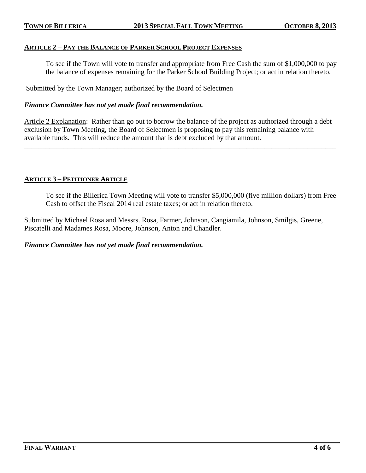#### **ARTICLE 2 – PAY THE BALANCE OF PARKER SCHOOL PROJECT EXPENSES**

To see if the Town will vote to transfer and appropriate from Free Cash the sum of \$1,000,000 to pay the balance of expenses remaining for the Parker School Building Project; or act in relation thereto.

Submitted by the Town Manager; authorized by the Board of Selectmen

#### *Finance Committee has not yet made final recommendation.*

Article 2 Explanation: Rather than go out to borrow the balance of the project as authorized through a debt exclusion by Town Meeting, the Board of Selectmen is proposing to pay this remaining balance with available funds. This will reduce the amount that is debt excluded by that amount.

\_\_\_\_\_\_\_\_\_\_\_\_\_\_\_\_\_\_\_\_\_\_\_\_\_\_\_\_\_\_\_\_\_\_\_\_\_\_\_\_\_\_\_\_\_\_\_\_\_\_\_\_\_\_\_\_\_\_\_\_\_\_\_\_\_\_\_\_\_\_\_\_\_\_\_\_\_\_\_\_\_\_\_\_\_\_\_

#### **ARTICLE 3 – PETITIONER ARTICLE**

To see if the Billerica Town Meeting will vote to transfer \$5,000,000 (five million dollars) from Free Cash to offset the Fiscal 2014 real estate taxes; or act in relation thereto.

Submitted by Michael Rosa and Messrs. Rosa, Farmer, Johnson, Cangiamila, Johnson, Smilgis, Greene, Piscatelli and Madames Rosa, Moore, Johnson, Anton and Chandler.

#### *Finance Committee has not yet made final recommendation.*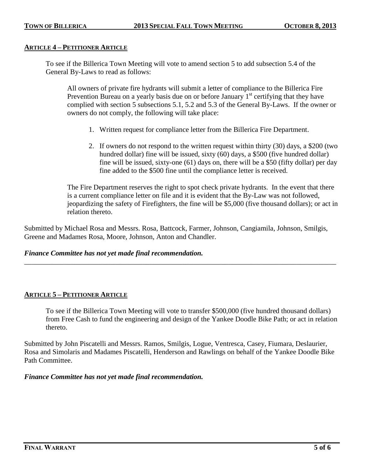#### **ARTICLE 4 – PETITIONER ARTICLE**

To see if the Billerica Town Meeting will vote to amend section 5 to add subsection 5.4 of the General By-Laws to read as follows:

All owners of private fire hydrants will submit a letter of compliance to the Billerica Fire Prevention Bureau on a yearly basis due on or before January  $1<sup>st</sup>$  certifying that they have complied with section 5 subsections 5.1, 5.2 and 5.3 of the General By-Laws. If the owner or owners do not comply, the following will take place:

- 1. Written request for compliance letter from the Billerica Fire Department.
- 2. If owners do not respond to the written request within thirty (30) days, a \$200 (two hundred dollar) fine will be issued, sixty (60) days, a \$500 (five hundred dollar) fine will be issued, sixty-one (61) days on, there will be a \$50 (fifty dollar) per day fine added to the \$500 fine until the compliance letter is received.

The Fire Department reserves the right to spot check private hydrants. In the event that there is a current compliance letter on file and it is evident that the By-Law was not followed, jeopardizing the safety of Firefighters, the fine will be \$5,000 (five thousand dollars); or act in relation thereto.

Submitted by Michael Rosa and Messrs. Rosa, Battcock, Farmer, Johnson, Cangiamila, Johnson, Smilgis, Greene and Madames Rosa, Moore, Johnson, Anton and Chandler.

\_\_\_\_\_\_\_\_\_\_\_\_\_\_\_\_\_\_\_\_\_\_\_\_\_\_\_\_\_\_\_\_\_\_\_\_\_\_\_\_\_\_\_\_\_\_\_\_\_\_\_\_\_\_\_\_\_\_\_\_\_\_\_\_\_\_\_\_\_\_\_\_\_\_\_\_\_\_\_\_\_\_\_\_\_\_\_

#### *Finance Committee has not yet made final recommendation.*

#### **ARTICLE 5 – PETITIONER ARTICLE**

To see if the Billerica Town Meeting will vote to transfer \$500,000 (five hundred thousand dollars) from Free Cash to fund the engineering and design of the Yankee Doodle Bike Path; or act in relation thereto.

Submitted by John Piscatelli and Messrs. Ramos, Smilgis, Logue, Ventresca, Casey, Fiumara, Deslaurier, Rosa and Simolaris and Madames Piscatelli, Henderson and Rawlings on behalf of the Yankee Doodle Bike Path Committee.

#### *Finance Committee has not yet made final recommendation.*